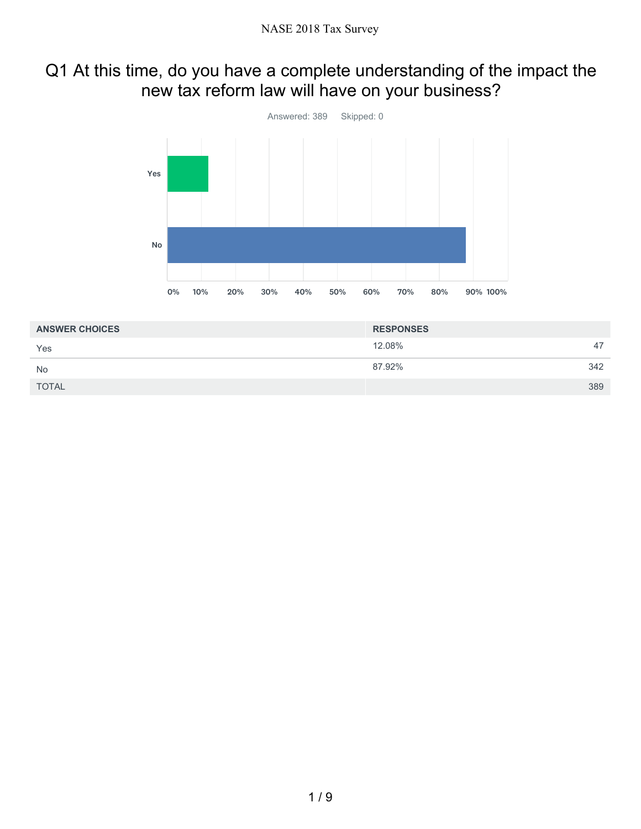### Q1 At this time, do you have a complete understanding of the impact the new tax reform law will have on your business?



| <b>ANSWER CHOICES</b> | <b>RESPONSES</b> |     |
|-----------------------|------------------|-----|
| Yes                   | 12.08%           | 47  |
| <b>No</b>             | 87.92%           | 342 |
| <b>TOTAL</b>          |                  | 389 |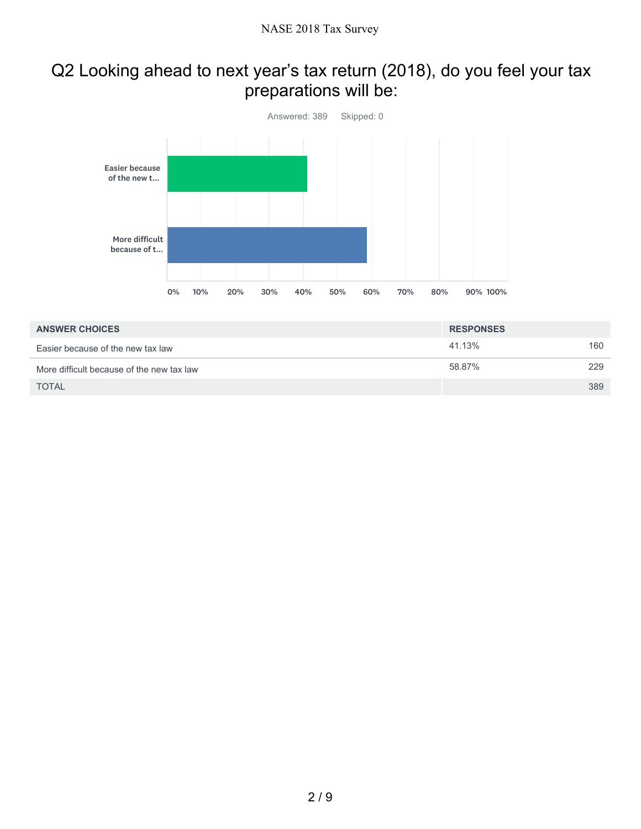### Q2 Looking ahead to next year's tax return (2018), do you feel your tax preparations will be:



| <b>ANSWER CHOICES</b>                     | <b>RESPONSES</b> |     |
|-------------------------------------------|------------------|-----|
| Easier because of the new tax law         | 41.13%           | 160 |
| More difficult because of the new tax law | 58.87%           | 229 |
| <b>TOTAL</b>                              |                  | 389 |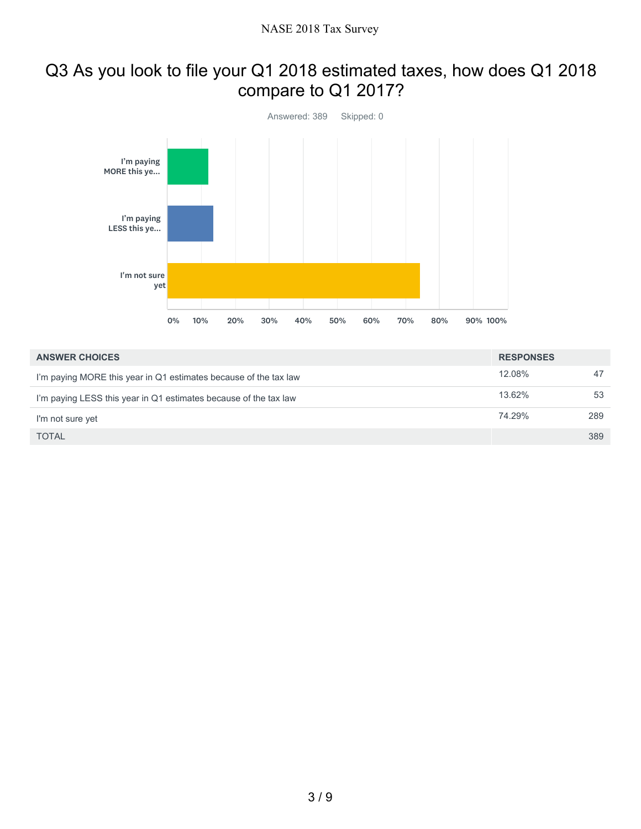#### Q3 As you look to file your Q1 2018 estimated taxes, how does Q1 2018 compare to Q1 2017?



| <b>ANSWER CHOICES</b>                                            | <b>RESPONSES</b> |     |
|------------------------------------------------------------------|------------------|-----|
| I'm paying MORE this year in Q1 estimates because of the tax law | 12.08%           | 47  |
| I'm paying LESS this year in Q1 estimates because of the tax law | 13.62%           | 53  |
| I'm not sure yet                                                 | 74.29%           | 289 |
| <b>TOTAL</b>                                                     |                  | 389 |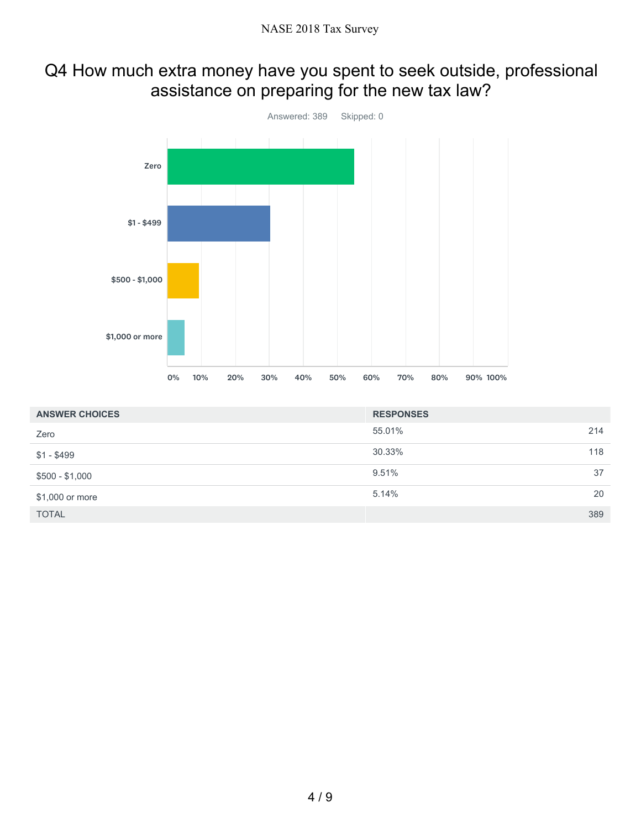### Q4 How much extra money have you spent to seek outside, professional assistance on preparing for the new tax law?



| <b>ANSWER CHOICES</b> | <b>RESPONSES</b> |     |
|-----------------------|------------------|-----|
| Zero                  | 55.01%           | 214 |
| $$1 - $499$           | 30.33%           | 118 |
| $$500 - $1,000$       | 9.51%            | 37  |
| \$1,000 or more       | 5.14%            | 20  |
| <b>TOTAL</b>          |                  | 389 |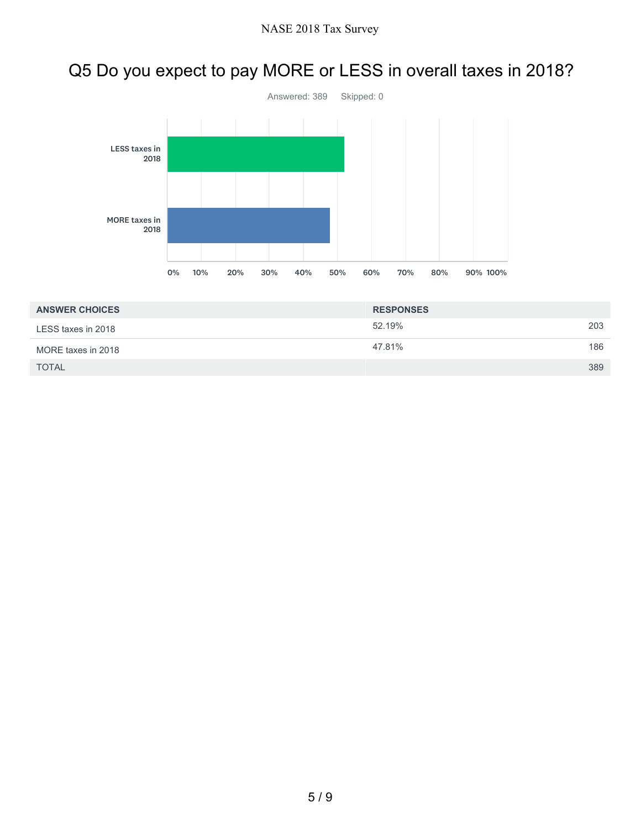# Q5 Do you expect to pay MORE or LESS in overall taxes in 2018?



| <b>ANSWER CHOICES</b> | <b>RESPONSES</b> |     |
|-----------------------|------------------|-----|
| LESS taxes in 2018    | 52.19%           | 203 |
| MORE taxes in 2018    | 47.81%           | 186 |
| <b>TOTAL</b>          |                  | 389 |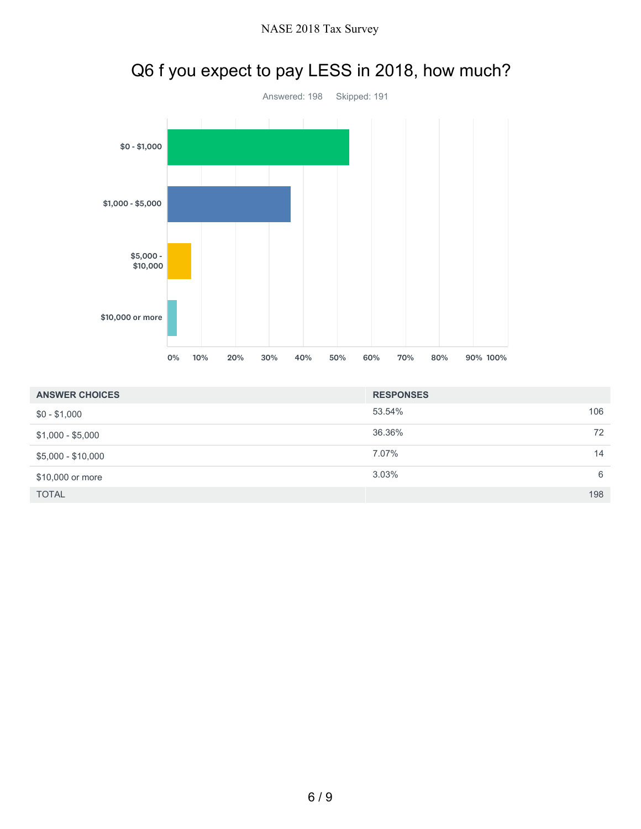

### Q6 f you expect to pay LESS in 2018, how much?

| <b>ANSWER CHOICES</b> | <b>RESPONSES</b> |     |
|-----------------------|------------------|-----|
| $$0 - $1,000$         | 53.54%           | 106 |
| $$1,000 - $5,000$     | 36.36%           | 72  |
| $$5,000 - $10,000$    | 7.07%            | 14  |
| \$10,000 or more      | $3.03\%$         | 6   |
| <b>TOTAL</b>          |                  | 198 |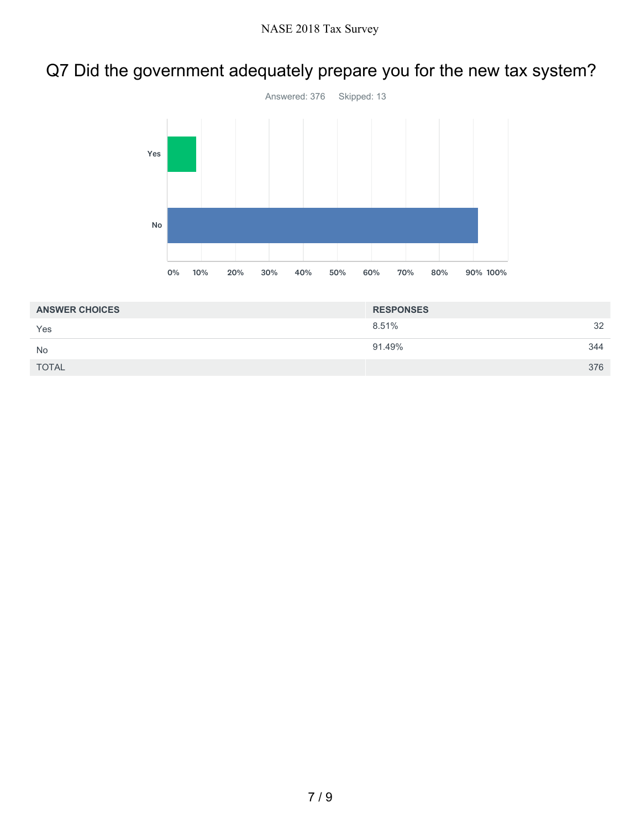## Q7 Did the government adequately prepare you for the new tax system?



| <b>ANSWER CHOICES</b> | <b>RESPONSES</b> |     |
|-----------------------|------------------|-----|
| Yes                   | 8.51%            | 32  |
| <b>No</b>             | 91.49%           | 344 |
| <b>TOTAL</b>          |                  | 376 |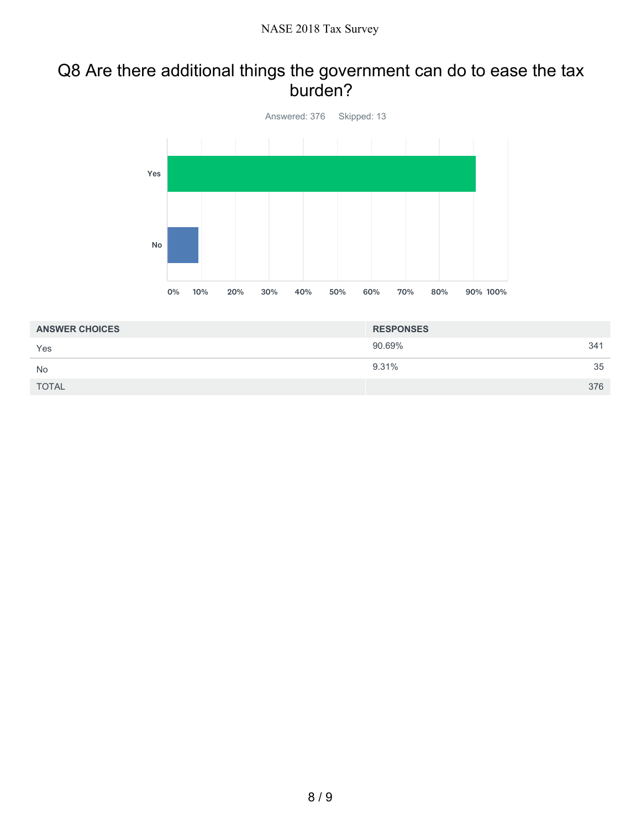#### Q8 Are there additional things the government can do to ease the tax burden?



| <b>ANSWER CHOICES</b> | <b>RESPONSES</b> |     |
|-----------------------|------------------|-----|
| Yes                   | 90.69%           | 341 |
| <b>No</b>             | 9.31%            | 35  |
| <b>TOTAL</b>          |                  | 376 |